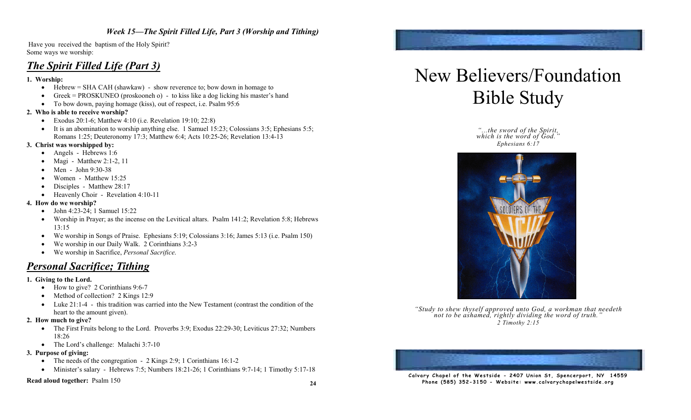#### *Week 15—The Spirit Filled Life, Part 3 (Worship and Tithing)*

 Have you received the baptism of the Holy Spirit? Some ways we worship:

### *The Spirit Filled Life (Part 3)*

#### **1. Worship:**

- $\bullet$  Hebrew = SHA CAH (shawkaw) show reverence to; bow down in homage to
- $\bullet$  Greek = PROSKUNEO (proskooneh o) to kiss like a dog licking his master's hand
- To bow down, paying homage (kiss), out of respect, i.e. Psalm 95:6

#### **2. Who is able to receive worship?**

- Exodus 20:1-6; Matthew 4:10 (i.e. Revelation 19:10; 22:8)
- It is an abomination to worship anything else. 1 Samuel 15:23; Colossians 3:5; Ephesians 5:5; Romans 1:25; Deuteronomy 17:3; Matthew 6:4; Acts 10:25-26; Revelation 13:4-13

#### **3. Christ was worshipped by:**

- Angels Hebrews 1:6
- Magi Matthew 2:1-2, 11
- Men John 9:30-38
- Women Matthew 15:25
- Disciples Matthew 28:17
- Heavenly Choir Revelation 4:10-11

#### **4. How do we worship?**

- $\bullet$  John 4:23-24; 1 Samuel 15:22
- !" Worship in Prayer; as the incense on the Levitical altars. Psalm 141:2; Revelation 5:8; Hebrews 13:15
- We worship in Songs of Praise. Ephesians 5:19; Colossians 3:16; James 5:13 (i.e. Psalm 150)
- We worship in our Daily Walk. 2 Corinthians 3:2-3
- !" We worship in Sacrifice, *Personal Sacrifice*.

### *Personal Sacrifice; Tithing*

#### **1. Giving to the Lord.**

- How to give? 2 Corinthians 9:6-7
- Method of collection? 2 Kings 12:9
- $\bullet$  Luke 21:1-4 this tradition was carried into the New Testament (contrast the condition of the heart to the amount given).

#### **2. How much to give?**

- The First Fruits belong to the Lord. Proverbs 3:9; Exodus 22:29-30; Leviticus 27:32; Numbers 18:26
- The Lord's challenge: Malachi 3:7-10

#### **3. Purpose of giving:**

- The needs of the congregation 2 Kings 2:9; 1 Corinthians  $16:1-2$
- Minister's salary Hebrews 7:5; Numbers 18:21-26; 1 Corinthians 9:7-14; 1 Timothy 5:17-18

#### **Read aloud together:** Psalm 150

# New Believers/Foundation Bible Study

*"...the sword of the Spirit, which is the word of God." Ephesians 6:17*



*"Study to shew thyself approved unto God, a workman that needeth not to be ashamed, rightly dividing the word of truth." 2 Timothy 2:15*



Calvary Chapel of the Westside - 2407 Union St, Spencerport, NY 14559 Phone (585) 352-3150 - Website: www.calvarychapelwestside.org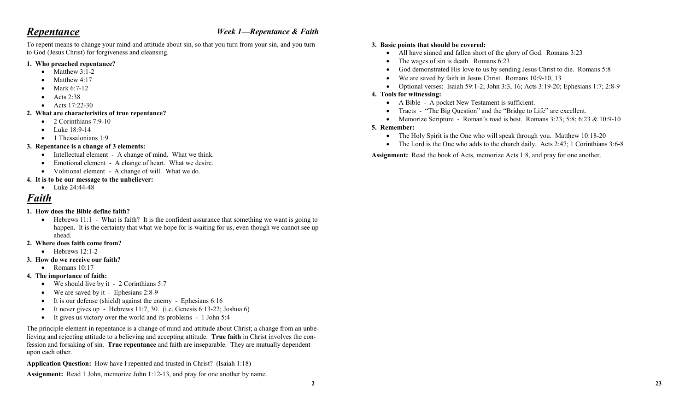### *Repentance*

#### *Week 1—Repentance & Faith*

To repent means to change your mind and attitude about sin, so that you turn from your sin, and you turn to God (Jesus Christ) for forgiveness and cleansing.

#### **1. Who preached repentance?**

- $\bullet$  Matthew 3:1-2
- $\bullet$  Matthew 4:17
- Mark 6:7-12
- $\bullet$  Acts 2:38
- Acts  $17:22-30$

#### **2. What are characteristics of true repentance?**

- $\bullet$  2 Corinthians 7:9-10
- Luke 18:9-14
- $\bullet$  1 Thessalonians 1:9

#### **3. Repentance is a change of 3 elements:**

- Intellectual element A change of mind. What we think.
- Emotional element A change of heart. What we desire.
- Volitional element A change of will. What we do.

#### **4. It is to be our message to the unbeliever:**

• Luke 24:44-48

## *Faith*

#### **1. How does the Bible define faith?**

- !" Hebrews 11:1 What is faith? It is the confident assurance that something we want is going to happen. It is the certainty that what we hope for is waiting for us, even though we cannot see up ahead.
- **2. Where does faith come from?** 
	- $\bullet$  Hebrews 12:1-2
- **3. How do we receive our faith?** 
	- $\bullet$  Romans 10:17

#### **4. The importance of faith:**

- $\bullet$  We should live by it 2 Corinthians 5:7
- We are saved by it Ephesians 2:8-9
- It is our defense (shield) against the enemy Ephesians 6:16
- It never gives up Hebrews  $11:7, 30$ . (i.e. Genesis 6:13-22; Joshua 6)
- It gives us victory over the world and its problems 1 John 5:4

The principle element in repentance is a change of mind and attitude about Christ; a change from an unbelieving and rejecting attitude to a believing and accepting attitude. **True faith** in Christ involves the confession and forsaking of sin. **True repentance** and faith are inseparable. They are mutually dependent upon each other.

**Application Question:** How have I repented and trusted in Christ? (Isaiah 1:18)

**Assignment:** Read 1 John, memorize John 1:12-13, and pray for one another by name.

#### **3. Basic points that should be covered:**

- All have sinned and fallen short of the glory of God. Romans 3:23
- $\bullet$  The wages of sin is death. Romans 6:23
- !" God demonstrated His love to us by sending Jesus Christ to die. Romans 5:8
- We are saved by faith in Jesus Christ. Romans 10:9-10, 13
- Optional verses: Isaiah 59:1-2; John 3:3, 16; Acts 3:19-20; Ephesians 1:7; 2:8-9

#### **4. Tools for witnessing:**

- !" A Bible A pocket New Testament is sufficient.
- Tracts "The Big Question" and the "Bridge to Life" are excellent.
- Memorize Scripture Roman's road is best. Romans  $3:23$ ;  $5:8$ ;  $6:23 \& 10:9-10$

#### **5. Remember:**

- The Holy Spirit is the One who will speak through you. Matthew 10:18-20
- The Lord is the One who adds to the church daily. Acts 2:47; 1 Corinthians 3:6-8

**Assignment:** Read the book of Acts, memorize Acts 1:8, and pray for one another.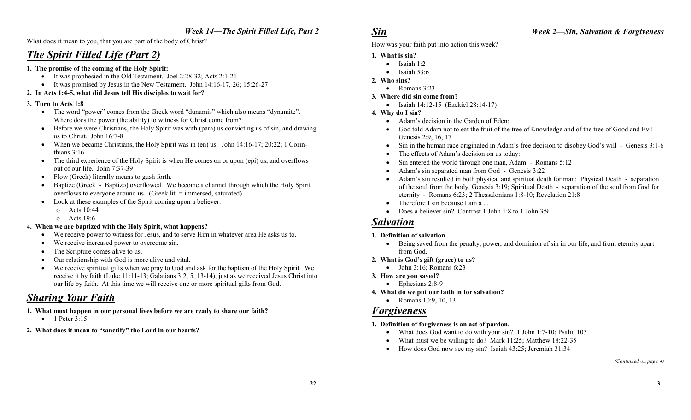### *Week 14—The Spirit Filled Life, Part 2*

What does it mean to you, that you are part of the body of Christ?

### *The Spirit Filled Life (Part 2)*

#### **1. The promise of the coming of the Holy Spirit:**

- $\bullet$  It was prophesied in the Old Testament. Joel 2:28-32; Acts 2:1-21
- It was promised by Jesus in the New Testament. John 14:16-17, 26; 15:26-27

#### **2. In Acts 1:4-5, what did Jesus tell His disciples to wait for?**

#### **3. Turn to Acts 1:8**

- !" The word "power" comes from the Greek word "dunamis" which also means "dynamite". Where does the power (the ability) to witness for Christ come from?
- !" Before we were Christians, the Holy Spirit was with (para) us convicting us of sin, and drawing us to Christ. John 16:7-8
- When we became Christians, the Holy Spirit was in (en) us. John  $14:16-17$ ; 20:22; 1 Corinthians 3:16
- !" The third experience of the Holy Spirit is when He comes on or upon (epi) us, and overflows out of our life. John 7:37-39
- Flow (Greek) literally means to gush forth.
- Baptize (Greek Baptizo) overflowed. We become a channel through which the Holy Spirit overflows to everyone around us. (Greek lit. = immersed, saturated)
- Look at these examples of the Spirit coming upon a believer:
	- o Acts 10:44
	- o Acts 19:6

#### **4. When we are baptized with the Holy Spirit, what happens?**

- !" We receive power to witness for Jesus, and to serve Him in whatever area He asks us to.
- We receive increased power to overcome sin.
- The Scripture comes alive to us.
- Our relationship with God is more alive and vital.
- We receive spiritual gifts when we pray to God and ask for the baptism of the Holy Spirit. We receive it by faith (Luke 11:11-13; Galatians 3:2, 5, 13-14), just as we received Jesus Christ into our life by faith. At this time we will receive one or more spiritual gifts from God.

### *Sharing Your Faith*

- **1. What must happen in our personal lives before we are ready to share our faith?** 
	- $\bullet$  1 Peter 3:15
- **2. What does it mean to "sanctify" the Lord in our hearts?**

### *Sin*

#### *Week 2—Sin, Salvation & Forgiveness*

How was your faith put into action this week?

#### **1. What is sin?**

- $\bullet$  Isaiah 1:2
- $\bullet$  Isaiah 53:6
- **2. Who sins?** 
	- $\bullet$  Romans 3:23
- **3. Where did sin come from?** 
	- Isaiah 14:12-15 (Ezekiel 28:14-17)

#### **4. Why do I sin?**

- Adam's decision in the Garden of Eden:
- !" God told Adam not to eat the fruit of the tree of Knowledge and of the tree of Good and Evil Genesis 2:9, 16, 17
- !" Sin in the human race originated in Adam's free decision to disobey God's will Genesis 3:1-6
- The effects of Adam's decision on us today:
- Sin entered the world through one man, Adam Romans 5:12
- Adam's sin separated man from God Genesis 3:22
- !" Adam's sin resulted in both physical and spiritual death for man: Physical Death separation of the soul from the body, Genesis 3:19; Spiritual Death - separation of the soul from God for eternity - Romans 6:23; 2 Thessalonians 1:8-10; Revelation 21:8
- Therefore I sin because I am a ...
- Does a believer sin? Contrast 1 John 1:8 to 1 John 3:9

### *Salvation*

#### **1. Definition of salvation**

- !" Being saved from the penalty, power, and dominion of sin in our life, and from eternity apart from God.
- **2. What is God's gift (grace) to us?** 
	- $\bullet$  John 3:16; Romans 6:23

#### **3. How are you saved?**

- $\bullet$  Ephesians 2:8-9
- **4. What do we put our faith in for salvation?** 
	- Romans 10:9, 10, 13

### *Forgiveness*

#### **1. Definition of forgiveness is an act of pardon.**

- What does God want to do with your sin? 1 John 1:7-10; Psalm 103
- What must we be willing to do? Mark  $11:25$ ; Matthew  $18:22-35$
- How does God now see my sin? Isaiah 43:25; Jeremiah 31:34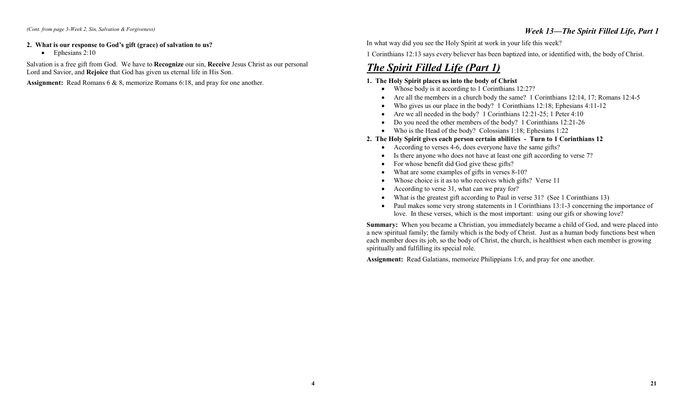#### **2. What is our response to God's gift (grace) of salvation to us?**

 $\bullet$  Ephesians 2:10

Salvation is a free gift from God. We have to **Recognize** our sin, **Receive** Jesus Christ as our personal Lord and Savior, and **Rejoice** that God has given us eternal life in His Son.

**Assignment:** Read Romans 6 & 8, memorize Romans 6:18, and pray for one another.

In what way did you see the Holy Spirit at work in your life this week?

1 Corinthians 12:13 says every believer has been baptized into, or identified with, the body of Christ.

### *The Spirit Filled Life (Part 1)*

#### **1. The Holy Spirit places us into the body of Christ**

- Whose body is it according to 1 Corinthians 12:27?
- Are all the members in a church body the same? 1 Corinthians 12:14, 17; Romans 12:4-5
- Who gives us our place in the body? 1 Corinthians 12:18; Ephesians 4:11-12
- Are we all needed in the body? 1 Corinthians  $12:21-25$ ; 1 Peter 4:10
- Do you need the other members of the body? 1 Corinthians 12:21-26
- Who is the Head of the body? Colossians 1:18; Ephesians 1:22
- **2. The Holy Spirit gives each person certain abilities Turn to 1 Corinthians 12** 
	- According to verses 4-6, does everyone have the same gifts?
	- Is there anyone who does not have at least one gift according to verse 7?
	- For whose benefit did God give these gifts?
	- What are some examples of gifts in verses 8-10?
	- Whose choice is it as to who receives which gifts? Verse 11
	- According to verse 31, what can we pray for?
	- What is the greatest gift according to Paul in verse 31? (See 1 Corinthians 13)
	- Paul makes some very strong statements in 1 Corinthians 13:1-3 concerning the importance of love. In these verses, which is the most important: using our gifs or showing love?

**Summary:** When you became a Christian, you immediately became a child of God, and were placed into a new spiritual family; the family which is the body of Christ. Just as a human body functions best when each member does its job, so the body of Christ, the church, is healthiest when each member is growing spiritually and fulfilling its special role.

**Assignment:** Read Galatians, memorize Philippians 1:6, and pray for one another.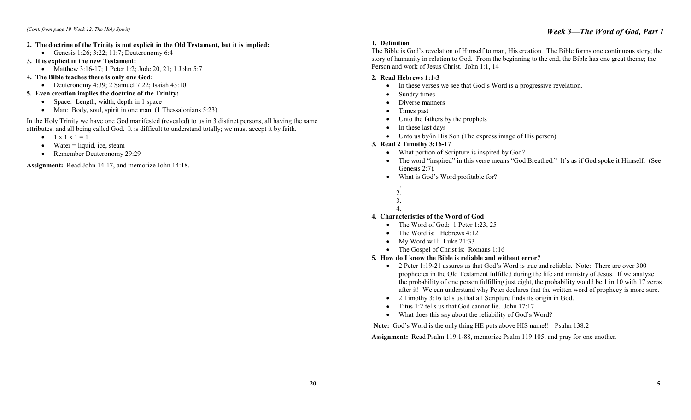#### **2. The doctrine of the Trinity is not explicit in the Old Testament, but it is implied:**

- Genesis 1:26; 3:22; 11:7; Deuteronomy 6:4
- **3. It is explicit in the new Testament:** 
	- Matthew 3:16-17; 1 Peter 1:2; Jude 20, 21; 1 John 5:7
- **4. The Bible teaches there is only one God:** 
	- Deuteronomy 4:39; 2 Samuel 7:22; Isaiah 43:10
- **5. Even creation implies the doctrine of the Trinity:** 
	- Space: Length, width, depth in 1 space
	- Man: Body, soul, spirit in one man (1 Thessalonians 5:23)

In the Holy Trinity we have one God manifested (revealed) to us in 3 distinct persons, all having the same attributes, and all being called God. It is difficult to understand totally; we must accept it by faith.

- $\bullet$  1 x 1 x 1 = 1
- $•$  Water = liquid, ice, steam
- Remember Deuteronomy 29:29

**Assignment:** Read John 14-17, and memorize John 14:18.

#### **1. Definition**

The Bible is God's revelation of Himself to man, His creation. The Bible forms one continuous story; the story of humanity in relation to God. From the beginning to the end, the Bible has one great theme; the Person and work of Jesus Christ. John 1:1, 14

#### **2. Read Hebrews 1:1-3**

- In these verses we see that God's Word is a progressive revelation.
- Sundry times
- Diverse manners
- Times past
- Unto the fathers by the prophets
- In these last days
- Unto us by/in His Son (The express image of His person)
- **3. Read 2 Timothy 3:16-17** 
	- What portion of Scripture is inspired by God?
	- The word "inspired" in this verse means "God Breathed." It's as if God spoke it Himself. (See Genesis 2:7).
	- What is God's Word profitable for?
	- 1.
	- 2.
	- 3.
	- 4.

#### **4. Characteristics of the Word of God**

- The Word of God: 1 Peter 1:23, 25
- $\bullet$  The Word is: Hebrews 4:12
- My Word will: Luke 21:33
- The Gospel of Christ is: Romans 1:16

#### **5. How do I know the Bible is reliable and without error?**

- 2 Peter 1:19-21 assures us that God's Word is true and reliable. Note: There are over 300 prophecies in the Old Testament fulfilled during the life and ministry of Jesus. If we analyze the probability of one person fulfilling just eight, the probability would be 1 in 10 with 17 zeros after it! We can understand why Peter declares that the written word of prophecy is more sure.
- 2 Timothy 3:16 tells us that all Scripture finds its origin in God.
- Titus 1:2 tells us that God cannot lie. John 17:17
- What does this say about the reliability of God's Word?

**Note:** God's Word is the only thing HE puts above HIS name!!! Psalm 138:2

**Assignment:** Read Psalm 119:1-88, memorize Psalm 119:105, and pray for one another.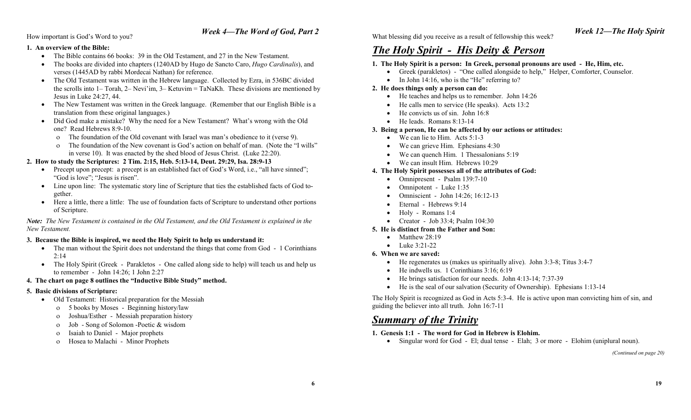#### How important is God's Word to you?

#### **1. An overview of the Bible:**

- The Bible contains 66 books: 39 in the Old Testament, and 27 in the New Testament.
- !" The books are divided into chapters (1240AD by Hugo de Sancto Caro, *Hugo Cardinalis*), and verses (1445AD by rabbi Mordecai Nathan) for reference.
- The Old Testament was written in the Hebrew language. Collected by Ezra, in 536BC divided the scrolls into 1– Torah, 2– Nevi'im, 3– Ketuvim = TaNaKh. These divisions are mentioned by Jesus in Luke 24:27, 44.
- !" The New Testament was written in the Greek language. (Remember that our English Bible is a translation from these original languages.)
- Did God make a mistake? Why the need for a New Testament? What's wrong with the Old one? Read Hebrews 8:9-10.
	- o The foundation of the Old covenant with Israel was man's obedience to it (verse 9).
	- o The foundation of the New covenant is God's action on behalf of man. (Note the "I wills" in verse 10). It was enacted by the shed blood of Jesus Christ. (Luke 22:20).

#### **2. How to study the Scriptures: 2 Tim. 2:15, Heb. 5:13-14, Deut. 29:29, Isa. 28:9-13**

- Precept upon precept: a precept is an established fact of God's Word, i.e., "all have sinned"; "God is love"; "Jesus is risen".
- Line upon line: The systematic story line of Scripture that ties the established facts of God together.
- !" Here a little, there a little: The use of foundation facts of Scripture to understand other portions of Scripture.

*Note: The New Testament is contained in the Old Testament, and the Old Testament is explained in the New Testament.*

#### **3. Because the Bible is inspired, we need the Holy Spirit to help us understand it:**

- The man without the Spirit does not understand the things that come from God 1 Corinthians 2:14
- The Holy Spirit (Greek Parakletos One called along side to help) will teach us and help us to remember - John 14:26; 1 John 2:27
- **4. The chart on page 8 outlines the "Inductive Bible Study" method.**

#### **5. Basic divisions of Scripture:**

- Old Testament: Historical preparation for the Messiah
	- o 5 books by Moses Beginning history/law
	- o Joshua/Esther Messiah preparation history
	- o Job Song of Solomon -Poetic & wisdom
	- o Isaiah to Daniel Major prophets
	- o Hosea to Malachi Minor Prophets

*Week 4—The Word of God, Part 2* What blessing did you receive as a result of fellowship this week?

### *The Holy Spirit - His Deity & Person*

#### **1. The Holy Spirit is a person: In Greek, personal pronouns are used - He, Him, etc.**

- !" Greek (parakletos) "One called alongside to help," Helper, Comforter, Counselor.
- $\bullet$  In John 14:16, who is the "He" referring to?

#### **2. He does things only a person can do:**

- He teaches and helps us to remember. John 14:26
- He calls men to service (He speaks). Acts 13:2
- He convicts us of sin. John 16:8
- He leads. Romans 8:13-14

#### **3. Being a person, He can be affected by our actions or attitudes:**

- $\bullet$  We can lie to Him. Acts 5:1-3
- We can grieve Him. Ephesians 4:30
- We can quench Him. 1 Thessalonians 5:19
- We can insult Him. Hebrews 10:29

#### **4. The Holy Spirit possesses all of the attributes of God:**

- Omnipresent Psalm 139:7-10
- $\bullet$  Omnipotent Luke 1:35
- Omniscient John 14:26; 16:12-13
- Eternal Hebrews 9:14
- Holy Romans 1:4
- Creator Job 33:4: Psalm  $104:30$

#### **5. He is distinct from the Father and Son:**

- $\bullet$  Matthew 28:19
- $\bullet$  Luke 3:21-22

#### **6. When we are saved:**

- $\bullet$  He regenerates us (makes us spiritually alive). John 3:3-8; Titus 3:4-7
- $\bullet$  He indwells us. 1 Corinthians 3:16; 6:19
- $\bullet$  He brings satisfaction for our needs. John 4:13-14; 7:37-39
- !" He is the seal of our salvation (Security of Ownership). Ephesians 1:13-14

The Holy Spirit is recognized as God in Acts 5:3-4. He is active upon man convicting him of sin, and guiding the believer into all truth. John 16:7-11

### *Summary of the Trinity*

- **1. Genesis 1:1 The word for God in Hebrew is Elohim.** 
	- Singular word for God El; dual tense Elah; 3 or more Elohim (uniplural noun).

*(Continued on page 20)*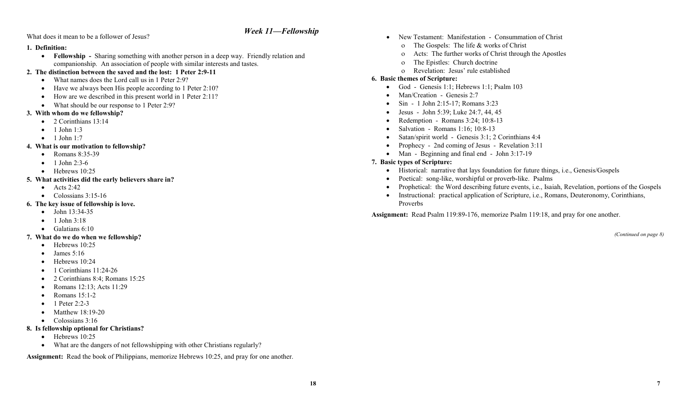#### *Week 11—Fellowship*

What does it mean to be a follower of Jesus?

#### **1. Definition:**

!" **Fellowship -** Sharing something with another person in a deep way. Friendly relation and companionship. An association of people with similar interests and tastes.

#### **2. The distinction between the saved and the lost: 1 Peter 2:9-11**

- What names does the Lord call us in 1 Peter 2:9?
- Have we always been His people according to 1 Peter 2:10?
- How are we described in this present world in 1 Peter 2:11?
- What should be our response to 1 Peter 2:9?

#### **3. With whom do we fellowship?**

- $\bullet$  2 Corinthians 13:14
- $\bullet$  1 John 1:3
- $\bullet$  1 John 1:7

#### **4. What is our motivation to fellowship?**

- Romans 8:35-39
- $\bullet$  1 John 2:3-6
- $\bullet$  Hebrews 10:25

#### **5. What activities did the early believers share in?**

- $\bullet$  Acts 2:42
- $\bullet$  Colossians 3:15-16

#### **6. The key issue of fellowship is love.**

- $\bullet$  John 13:34-35
- $\bullet$  1 John 3:18
- $\bullet$  Galatians 6:10

#### **7. What do we do when we fellowship?**

- $\bullet$  Hebrews 10:25
- $\bullet$  James 5:16
- Hebrews 10:24
- $\bullet$  1 Corinthians 11:24-26
- 2 Corinthians 8:4; Romans 15:25
- Romans 12:13; Acts 11:29
- Romans 15:1-2
- $\bullet$  1 Peter 2:2-3
- Matthew 18:19-20
- $\bullet$  Colossians 3:16

#### **8. Is fellowship optional for Christians?**

- $\bullet$  Hebrews 10:25
- What are the dangers of not fellowshipping with other Christians regularly?

**Assignment:** Read the book of Philippians, memorize Hebrews 10:25, and pray for one another.

- New Testament: Manifestation Consummation of Christ
	- o The Gospels: The life & works of Christ
	- o Acts: The further works of Christ through the Apostles
	- o The Epistles: Church doctrine
	- o Revelation: Jesus' rule established

#### **6. Basic themes of Scripture:**

- $\bullet$  God Genesis 1:1; Hebrews 1:1; Psalm 103
- Man/Creation Genesis 2:7
- Sin 1 John 2:15-17; Romans 3:23
- Jesus John 5:39; Luke 24:7, 44, 45
- Redemption Romans 3:24; 10:8-13
- Salvation Romans 1:16; 10:8-13
- Satan/spirit world Genesis 3:1; 2 Corinthians 4:4
- Prophecy 2nd coming of Jesus Revelation 3:11
- Man Beginning and final end John 3:17-19

#### **7. Basic types of Scripture:**

- Historical: narrative that lays foundation for future things, i.e., Genesis/Gospels
- Poetical: song-like, worshipful or proverb-like. Psalms
- !" Prophetical: the Word describing future events, i.e., Isaiah, Revelation, portions of the Gospels
- !" Instructional: practical application of Scripture, i.e., Romans, Deuteronomy, Corinthians, Proverbs

**Assignment:** Read Psalm 119:89-176, memorize Psalm 119:18, and pray for one another.

*(Continued on page 8)*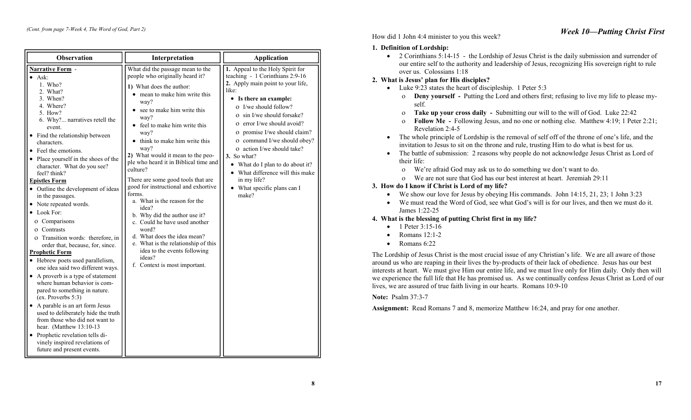| <b>Observation</b>                                                                                                                                                                                                                                                                                                                                                                                                                                                                                                                                                                                                                                                                                                                                                                                                                                                                                                                                                                                                                           | Interpretation                                                                                                                                                                                                                                                                                                                                                                                                                                                                                                                                                                                                                                                                                                          | <b>Application</b>                                                                                                                                                                                                                                                                                                                                                                                                                                                                            |
|----------------------------------------------------------------------------------------------------------------------------------------------------------------------------------------------------------------------------------------------------------------------------------------------------------------------------------------------------------------------------------------------------------------------------------------------------------------------------------------------------------------------------------------------------------------------------------------------------------------------------------------------------------------------------------------------------------------------------------------------------------------------------------------------------------------------------------------------------------------------------------------------------------------------------------------------------------------------------------------------------------------------------------------------|-------------------------------------------------------------------------------------------------------------------------------------------------------------------------------------------------------------------------------------------------------------------------------------------------------------------------------------------------------------------------------------------------------------------------------------------------------------------------------------------------------------------------------------------------------------------------------------------------------------------------------------------------------------------------------------------------------------------------|-----------------------------------------------------------------------------------------------------------------------------------------------------------------------------------------------------------------------------------------------------------------------------------------------------------------------------------------------------------------------------------------------------------------------------------------------------------------------------------------------|
| Narrative Form -<br>$\bullet$ Ask:<br>1. Who?<br>2. What?<br>3. When?<br>4. Where?<br>5. How?<br>6. Why? narratives retell the<br>event.<br>Find the relationship between<br>$\bullet$<br>characters.<br>• Feel the emotions.<br>• Place yourself in the shoes of the<br>character. What do you see?<br>feel? think?<br><b>Epistles Form</b><br>• Outline the development of ideas<br>in the passages.<br>• Note repeated words.<br>$\bullet$ Look For:<br>o Comparisons<br>O Contrasts<br>o Transition words: therefore, in<br>order that, because, for, since.<br><b>Prophetic Form</b><br>• Hebrew poets used parallelism,<br>one idea said two different ways.<br>• A proverb is a type of statement<br>where human behavior is com-<br>pared to something in nature.<br>(ex. Proverbs 5:3)<br>• A parable is an art form Jesus<br>used to deliberately hide the truth<br>from those who did not want to<br>hear. (Matthew 13:10-13)<br>• Prophetic revelation tells di-<br>vinely inspired revelations of<br>future and present events. | What did the passage mean to the<br>people who originally heard it?<br>1) What does the author:<br>mean to make him write this<br>way?<br>see to make him write this<br>way?<br>• feel to make him write this<br>way?<br>• think to make him write this<br>way?<br>2) What would it mean to the peo-<br>ple who heard it in Biblical time and<br>culture?<br>There are some good tools that are<br>good for instructional and exhortive<br>forms.<br>a. What is the reason for the<br>idea?<br>b. Why did the author use it?<br>c. Could he have used another<br>word?<br>d. What does the idea mean?<br>e. What is the relationship of this<br>idea to the events following<br>ideas?<br>f. Context is most important. | 1. Appeal to the Holy Spirit for<br>teaching - 1 Corinthians 2:9-16<br>2. Apply main point to your life,<br>like:<br>• Is there an example:<br>$\Omega$ I/we should follow?<br>o sin I/we should forsake?<br>o error I/we should avoid?<br>o promise I/we should claim?<br>o command I/we should obey?<br>o action I/we should take?<br>3. So what?<br>What do I plan to do about it?<br>$\bullet$<br>• What difference will this make<br>in my life?<br>• What specific plans can I<br>make? |

How did 1 John 4:4 minister to you this week?

#### **1. Definition of Lordship:**

• 2 Corinthians 5:14-15 - the Lordship of Jesus Christ is the daily submission and surrender of our entire self to the authority and leadership of Jesus, recognizing His sovereign right to rule over us. Colossians 1:18

#### **2. What is Jesus' plan for His disciples?**

- $\bullet$  Luke 9:23 states the heart of discipleship. 1 Peter 5:3
	- $\sigma$  **Deny yourself** Putting the Lord and others first; refusing to live my life to please myself.
	- o **Take up your cross daily -** Submitting our will to the will of God. Luke 22:42
	- #" **Follow Me** Following Jesus, and no one or nothing else. Matthew 4:19; 1 Peter 2:21; Revelation 2:4-5
- The whole principle of Lordship is the removal of self off of the throne of one's life, and the invitation to Jesus to sit on the throne and rule, trusting Him to do what is best for us.
- The battle of submission: 2 reasons why people do not acknowledge Jesus Christ as Lord of their life:
	- o We're afraid God may ask us to do something we don't want to do.
	- o We are not sure that God has our best interest at heart. Jeremiah 29:11

#### **3. How do I know if Christ is Lord of my life?**

- $\bullet$  We show our love for Jesus by obeying His commands. John 14:15, 21, 23; 1 John 3:23
- !" We must read the Word of God, see what God's will is for our lives, and then we must do it. James 1:22-25

#### **4. What is the blessing of putting Christ first in my life?**

- 1 Peter 3:15-16
- $\bullet$  Romans 12:1-2
- $\bullet$  Romans 6:22

The Lordship of Jesus Christ is the most crucial issue of any Christian's life. We are all aware of those around us who are reaping in their lives the by-products of their lack of obedience. Jesus has our best interests at heart. We must give Him our entire life, and we must live only for Him daily. Only then will we experience the full life that He has promised us. As we continually confess Jesus Christ as Lord of our lives, we are assured of true faith living in our hearts. Romans 10:9-10

**Note:** Psalm 37:3-7

**Assignment:** Read Romans 7 and 8, memorize Matthew 16:24, and pray for one another.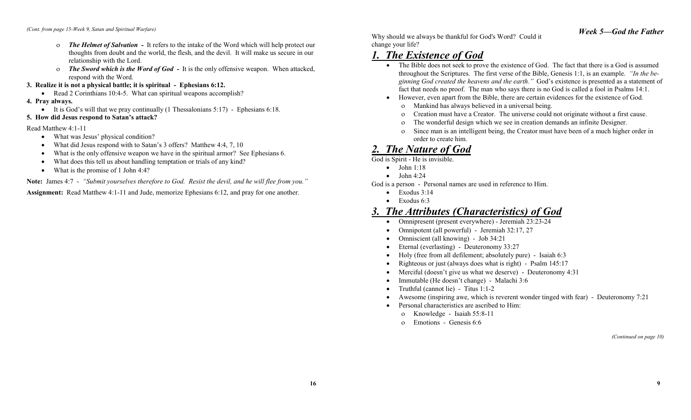- o *The Helmet of Salvation -* It refers to the intake of the Word which will help protect our thoughts from doubt and the world, the flesh, and the devil. It will make us secure in our relationship with the Lord.
- o *The Sword which is the Word of God -* It is the only offensive weapon. When attacked, respond with the Word.
- **3. Realize it is not a physical battle; it is spiritual Ephesians 6:12.** 
	- Read 2 Corinthians 10:4-5. What can spiritual weapons accomplish?

#### **4. Pray always.**

- $\bullet$  It is God's will that we pray continually (1 Thessalonians 5:17) Ephesians 6:18.
- **5. How did Jesus respond to Satan's attack?**

#### Read Matthew 4:1-11

- What was Jesus' physical condition?
- What did Jesus respond with to Satan's 3 offers? Matthew 4:4, 7, 10
- What is the only offensive weapon we have in the spiritual armor? See Ephesians 6.
- What does this tell us about handling temptation or trials of any kind?
- What is the promise of 1 John 4:4?

**Note:** James 4:7 - *"Submit yourselves therefore to God. Resist the devil, and he will flee from you."*  **Assignment:** Read Matthew 4:1-11 and Jude, memorize Ephesians 6:12, and pray for one another.

Why should we always be thankful for God's Word? Could it change your life?

### *1. The Existence of God*

- The Bible does not seek to prove the existence of God. The fact that there is a God is assumed throughout the Scriptures. The first verse of the Bible, Genesis 1:1, is an example. *"In the beginning God created the heavens and the earth."* God's existence is presented as a statement of fact that needs no proof. The man who says there is no God is called a fool in Psalms 14:1.
- !" However, even apart from the Bible, there are certain evidences for the existence of God.
	- o Mankind has always believed in a universal being.
	- o Creation must have a Creator. The universe could not originate without a first cause.
	- o The wonderful design which we see in creation demands an infinite Designer.
	- o Since man is an intelligent being, the Creator must have been of a much higher order in order to create him.

### *2. The Nature of God*

God is Spirit - He is invisible.

- $\bullet$  John 1:18
- $\bullet$  John 4:24
- God is a person Personal names are used in reference to Him.
	- $\bullet$  Exodus 3:14
	- $\bullet$  Exodus 6:3

### *3. The Attributes (Characteristics) of God*

- Omnipresent (present everywhere) Jeremiah 23:23-24
- Omnipotent (all powerful) Jeremiah 32:17, 27
- Omniscient (all knowing) Job 34:21
- Eternal (everlasting) Deuteronomy 33:27
- !" Holy (free from all defilement; absolutely pure) Isaiah 6:3
- Righteous or just (always does what is right) Psalm 145:17
- Merciful (doesn't give us what we deserve) Deuteronomy 4:31
- Immutable (He doesn't change) Malachi 3:6
- Truthful (cannot lie) Titus 1:1-2
- Awesome (inspiring awe, which is reverent wonder tinged with fear) Deuteronomy 7:21
- Personal characteristics are ascribed to Him:
	- o Knowledge Isaiah 55:8-11
	- o Emotions Genesis 6:6

*(Continued on page 10)*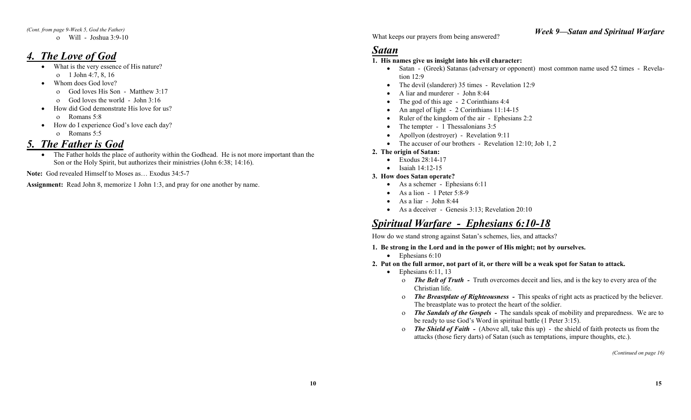*(Cont. from page 9-Week 5, God the Father)* 

 $\alpha$  Will - Joshua 3:9-10

### *4. The Love of God*

- What is the very essence of His nature?
- $\alpha$  1 John 4:7, 8, 16 • Whom does God love?
	- o God loves His Son Matthew 3:17
	- $\sigma$  God loves the world John 3:16
- How did God demonstrate His love for us?
	- o Romans 5:8
- How do I experience God's love each day?
	- o Romans 5:5

### *5. The Father is God*

• The Father holds the place of authority within the Godhead. He is not more important than the Son or the Holy Spirit, but authorizes their ministries (John 6:38; 14:16).

**Note:** God revealed Himself to Moses as… Exodus 34:5-7

**Assignment:** Read John 8, memorize 1 John 1:3, and pray for one another by name.

What keeps our prayers from being answered?

### *Satan*

#### **1. His names give us insight into his evil character:**

- Satan (Greek) Satanas (adversary or opponent) most common name used 52 times Revelation 12:9
- !" The devil (slanderer) 35 times Revelation 12:9
- A liar and murderer John 8:44
- The god of this age 2 Corinthians 4:4
- An angel of light 2 Corinthians 11:14-15
- Ruler of the kingdom of the air Ephesians 2:2
- The tempter 1 Thessalonians 3:5
- Apollyon (destroyer) Revelation 9:11
- The accuser of our brothers Revelation  $12:10$ ; Job 1, 2

#### **2. The origin of Satan:**

- Exodus 28:14-17
- $\bullet$  Isaiah 14:12-15

#### **3. How does Satan operate?**

- As a schemer Ephesians 6:11
- $\bullet$  As a lion 1 Peter 5:8-9
- $\bullet$  As a liar John 8:44
- As a deceiver Genesis 3:13; Revelation 20:10

### *Spiritual Warfare - Ephesians 6:10-18*

How do we stand strong against Satan's schemes, lies, and attacks?

- **1. Be strong in the Lord and in the power of His might; not by ourselves.** 
	- $\bullet$  Ephesians 6:10
- **2. Put on the full armor, not part of it, or there will be a weak spot for Satan to attack.** 
	- $\bullet$  Ephesians 6:11, 13
		- o *The Belt of Truth -* Truth overcomes deceit and lies, and is the key to every area of the Christian life.
		- #" *The Breastplate of Righteousness* This speaks of right acts as practiced by the believer. The breastplate was to protect the heart of the soldier.
		- #" *The Sandals of the Gospels* The sandals speak of mobility and preparedness. We are to be ready to use God's Word in spiritual battle (1 Peter 3:15).
		- o *The Shield of Faith (Above all, take this up) the shield of faith protects us from the* attacks (those fiery darts) of Satan (such as temptations, impure thoughts, etc.).

*(Continued on page 16)* 

*Week 9—Satan and Spiritual Warfare*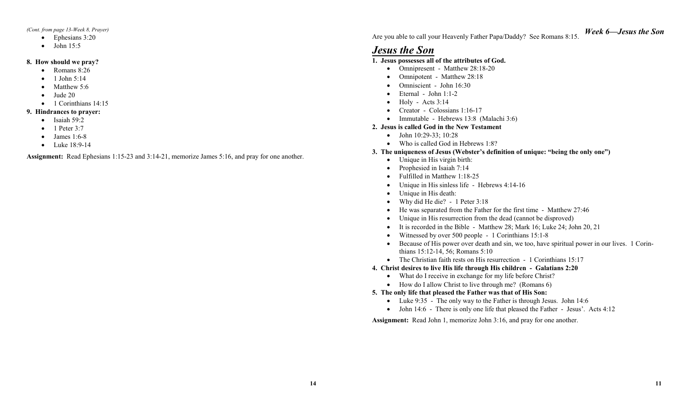*(Cont. from page 13-Week 8, Prayer)* 

- $\bullet$  Ephesians 3:20
- $\bullet$  John 15:5

#### **8. How should we pray?**

- Romans 8:26
- $\bullet$  1 John 5:14
- $\bullet$  Matthew 5:6
- $\bullet$  Jude 20
- $\bullet$  1 Corinthians 14:15

#### **9. Hindrances to prayer:**

- $\bullet$  Isaiah 59:2
- $\bullet$  1 Peter 3:7
- $\bullet$  James 1:6-8
- $\bullet$  Luke 18:9-14

**Assignment:** Read Ephesians 1:15-23 and 3:14-21, memorize James 5:16, and pray for one another.

Are you able to call your Heavenly Father Papa/Daddy? See Romans 8:15.

### *Jesus the Son*

#### **1. Jesus possesses all of the attributes of God.**

- Omnipresent Matthew 28:18-20
- Omnipotent Matthew 28:18
- Omniscient John 16:30
- $\bullet$  Eternal John 1:1-2
- $\bullet$  Holy Acts 3:14
- Creator Colossians 1:16-17
- Immutable Hebrews 13:8 (Malachi 3:6)

#### **2. Jesus is called God in the New Testament**

- $\bullet$  John 10:29-33; 10:28
- Who is called God in Hebrews 1:8?

#### **3. The uniqueness of Jesus (Webster's definition of unique: "being the only one")**

- Unique in His virgin birth:
- Prophesied in Isaiah 7:14
- Fulfilled in Matthew 1:18-25
- Unique in His sinless life Hebrews 4:14-16
- Unique in His death:
- $\bullet$  Why did He die? 1 Peter 3:18
- He was separated from the Father for the first time Matthew 27:46
- Unique in His resurrection from the dead (cannot be disproved)
- It is recorded in the Bible Matthew 28; Mark 16; Luke 24; John 20, 21
- Witnessed by over 500 people 1 Corinthians 15:1-8
- !" Because of His power over death and sin, we too, have spiritual power in our lives. 1 Corinthians 15:12-14, 56; Romans 5:10
- The Christian faith rests on His resurrection 1 Corinthians 15:17

#### **4. Christ desires to live His life through His children - Galatians 2:20**

- What do I receive in exchange for my life before Christ?
- How do I allow Christ to live through me? (Romans 6)

#### **5. The only life that pleased the Father was that of His Son:**

- Luke 9:35 The only way to the Father is through Jesus. John 14:6
- John 14:6 There is only one life that pleased the Father Jesus'. Acts 4:12

**Assignment:** Read John 1, memorize John 3:16, and pray for one another.

*Week 6—Jesus the Son*